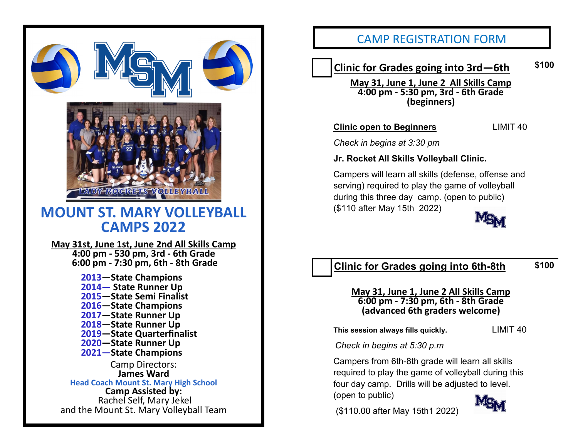

## CAMP REGISTRATION FORM

# **Clinic for Grades going into 3rd—6th \$100**

**May 31, June 1, June 2 All Skills Camp 4:00 pm - 5:30 pm, 3rd - 6th Grade (beginners)** 

**Clinic open to Beginners** LIMIT 40

*Check in begins at 3:30 pm*

**Jr. Rocket All Skills Volleyball Clinic.** 

Campers will learn all skills (defense, offense and serving) required to play the game of volleyball during this three day camp. (open to public) (\$110 after May 15th 2022)



#### **Clinic for Grades going into 6th-8th \$100**

#### **May 31, June 1, June 2 All Skills Camp 6:00 pm - 7:30 pm, 6th - 8th Grade (advanced 6th graders welcome)**

**This session always fills quickly.** LIMIT 40

*Check in begins at 5:30 p.m*

Campers from 6th-8th grade will learn all skills required to play the game of volleyball during this four day camp. Drills will be adjusted to level. (open to public)

(\$110.00 after May 15th1 2022)